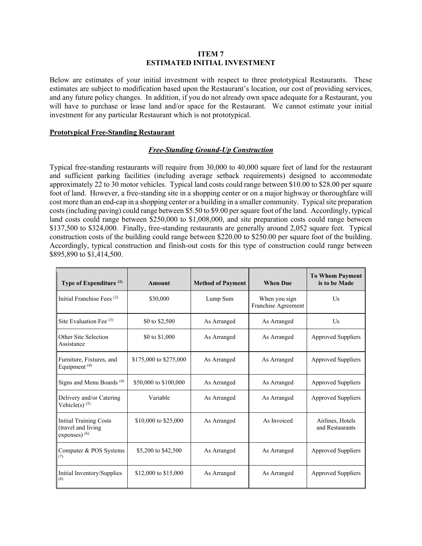#### **ITEM 7 ESTIMATED INITIAL INVESTMENT**

Below are estimates of your initial investment with respect to three prototypical Restaurants. These estimates are subject to modification based upon the Restaurant's location, our cost of providing services, and any future policy changes. In addition, if you do not already own space adequate for a Restaurant, you will have to purchase or lease land and/or space for the Restaurant. We cannot estimate your initial investment for any particular Restaurant which is not prototypical.

### **Prototypical Free-Standing Restaurant**

### *Free-Standing Ground-Up Construction*

Typical free-standing restaurants will require from 30,000 to 40,000 square feet of land for the restaurant and sufficient parking facilities (including average setback requirements) designed to accommodate approximately 22 to 30 motor vehicles. Typical land costs could range between \$10.00 to \$28.00 per square foot of land. However, a free-standing site in a shopping center or on a major highway or thoroughfare will cost more than an end-cap in a shopping center or a building in a smaller community. Typical site preparation costs (including paving) could range between \$5.50 to \$9.00 per square foot of the land. Accordingly, typical land costs could range between \$250,000 to \$1,008,000, and site preparation costs could range between \$137,500 to \$324,000. Finally, free-standing restaurants are generally around 2,052 square feet. Typical construction costs of the building could range between \$220.00 to \$250.00 per square foot of the building. Accordingly, typical construction and finish-out costs for this type of construction could range between \$895,890 to \$1,414,500.

| Type of Expenditure <sup>(1)</sup>                                     | Amount                 | <b>Method of Payment</b> | <b>When Due</b>                      | <b>To Whom Payment</b><br>is to be Made |
|------------------------------------------------------------------------|------------------------|--------------------------|--------------------------------------|-----------------------------------------|
| Initial Franchise Fees <sup>(2)</sup>                                  | \$30,000               | Lump Sum                 | When you sign<br>Franchise Agreement | $\overline{U}$ s                        |
| Site Evaluation Fee $(3)$                                              | \$0 to \$2,500         | As Arranged              | As Arranged                          | Us                                      |
| Other Site Selection<br>Assistance                                     | \$0 to \$1,000         | As Arranged              | As Arranged                          | <b>Approved Suppliers</b>               |
| Furniture, Fixtures, and<br>Equipment <sup>(4)</sup>                   | \$175,000 to \$275,000 | As Arranged              | As Arranged                          | <b>Approved Suppliers</b>               |
| Signs and Menu Boards <sup>(4)</sup>                                   | \$50,000 to \$100,000  | As Arranged              | As Arranged                          | <b>Approved Suppliers</b>               |
| Delivery and/or Catering<br>Vehicle(s) $(5)$                           | Variable               | As Arranged              | As Arranged                          | <b>Approved Suppliers</b>               |
| <b>Initial Training Costs</b><br>(travel and living<br>expenses) $(6)$ | \$10,000 to \$25,000   | As Arranged              | As Invoiced                          | Airlines, Hotels<br>and Restaurants     |
| Computer & POS Systems<br>(7)                                          | \$5,200 to \$42,500    | As Arranged              | As Arranged                          | <b>Approved Suppliers</b>               |
| Initial Inventory/Supplies<br>(8)                                      | \$12,000 to \$15,000   | As Arranged              | As Arranged                          | <b>Approved Suppliers</b>               |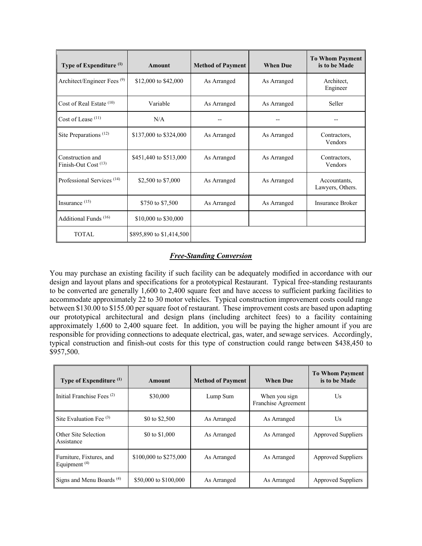| Type of Expenditure <sup>(1)</sup>            | Amount                   | <b>Method of Payment</b> | <b>When Due</b> | <b>To Whom Payment</b><br>is to be Made |
|-----------------------------------------------|--------------------------|--------------------------|-----------------|-----------------------------------------|
| Architect/Engineer Fees <sup>(9)</sup>        | \$12,000 to \$42,000     | As Arranged              | As Arranged     | Architect,<br>Engineer                  |
| Cost of Real Estate $(10)$                    | Variable                 | As Arranged              | As Arranged     | Seller                                  |
| Cost of Lease (11)                            | N/A                      |                          |                 |                                         |
| Site Preparations <sup>(12)</sup>             | \$137,000 to \$324,000   | As Arranged              | As Arranged     | Contractors,<br>Vendors                 |
| Construction and<br>Finish-Out Cost $^{(13)}$ | \$451,440 to \$513,000   | As Arranged              | As Arranged     | Contractors.<br>Vendors                 |
| Professional Services <sup>(14)</sup>         | \$2,500 to \$7,000       | As Arranged              | As Arranged     | Accountants,<br>Lawyers, Others.        |
| Insurance $(15)$                              | \$750 to \$7,500         | As Arranged              | As Arranged     | <b>Insurance Broker</b>                 |
| Additional Funds <sup>(16)</sup>              | \$10,000 to \$30,000     |                          |                 |                                         |
| <b>TOTAL</b>                                  | \$895,890 to \$1,414,500 |                          |                 |                                         |

# *Free-Standing Conversion*

You may purchase an existing facility if such facility can be adequately modified in accordance with our design and layout plans and specifications for a prototypical Restaurant. Typical free-standing restaurants to be converted are generally 1,600 to 2,400 square feet and have access to sufficient parking facilities to accommodate approximately 22 to 30 motor vehicles. Typical construction improvement costs could range between \$130.00 to \$155.00 per square foot of restaurant. These improvement costs are based upon adapting our prototypical architectural and design plans (including architect fees) to a facility containing approximately 1,600 to 2,400 square feet. In addition, you will be paying the higher amount if you are responsible for providing connections to adequate electrical, gas, water, and sewage services. Accordingly, typical construction and finish-out costs for this type of construction could range between \$438,450 to \$957,500.

| Type of Expenditure <sup>(1)</sup>          | Amount                 | <b>Method of Payment</b> | <b>When Due</b>                      | <b>To Whom Payment</b><br>is to be Made |
|---------------------------------------------|------------------------|--------------------------|--------------------------------------|-----------------------------------------|
| Initial Franchise Fees <sup>(2)</sup>       | \$30,000               | Lump Sum                 | When you sign<br>Franchise Agreement | Us                                      |
| Site Evaluation Fee $(3)$                   | \$0 to \$2,500         | As Arranged              | As Arranged                          | Us                                      |
| Other Site Selection<br>Assistance          | \$0 to \$1,000         | As Arranged              | As Arranged                          | <b>Approved Suppliers</b>               |
| Furniture, Fixtures, and<br>Equipment $(4)$ | \$100,000 to \$275,000 | As Arranged              | As Arranged                          | <b>Approved Suppliers</b>               |
| Signs and Menu Boards <sup>(4)</sup>        | \$50,000 to \$100,000  | As Arranged              | As Arranged                          | Approved Suppliers                      |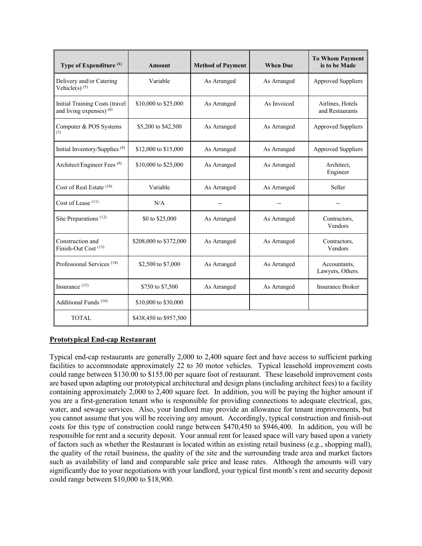| Type of Expenditure <sup>(1)</sup>                         | <b>Amount</b>          | <b>Method of Payment</b> | <b>When Due</b> | <b>To Whom Payment</b><br>is to be Made |
|------------------------------------------------------------|------------------------|--------------------------|-----------------|-----------------------------------------|
| Delivery and/or Catering<br>Vehicle(s) $(5)$               | Variable               | As Arranged              | As Arranged     | <b>Approved Suppliers</b>               |
| Initial Training Costs (travel<br>and living expenses) (6) | \$10,000 to \$25,000   | As Arranged              | As Invoiced     | Airlines, Hotels<br>and Restaurants     |
| Computer & POS Systems<br>(7)                              | \$5,200 to \$42,500    | As Arranged              | As Arranged     | <b>Approved Suppliers</b>               |
| Initial Inventory/Supplies <sup>(8)</sup>                  | \$12,000 to \$15,000   | As Arranged              | As Arranged     | <b>Approved Suppliers</b>               |
| Architect/Engineer Fees <sup>(9)</sup>                     | \$10,000 to \$25,000   | As Arranged              | As Arranged     | Architect,<br>Engineer                  |
| Cost of Real Estate $(10)$                                 | Variable               | As Arranged              | As Arranged     | Seller                                  |
| Cost of Lease <sup>(11)</sup>                              | N/A                    |                          |                 |                                         |
| Site Preparations <sup>(12)</sup>                          | \$0 to \$25,000        | As Arranged              | As Arranged     | Contractors,<br>Vendors                 |
| Construction and<br>Finish-Out Cost <sup>(13)</sup>        | \$208,000 to \$372,000 | As Arranged              | As Arranged     | Contractors,<br>Vendors                 |
| Professional Services <sup>(14)</sup>                      | \$2,500 to \$7,000     | As Arranged              | As Arranged     | Accountants,<br>Lawyers, Others.        |
| Insurance $(15)$                                           | \$750 to \$7,500       | As Arranged              | As Arranged     | <b>Insurance Broker</b>                 |
| Additional Funds <sup>(16)</sup>                           | \$10,000 to \$30,000   |                          |                 |                                         |
| <b>TOTAL</b>                                               | \$438,450 to \$957,500 |                          |                 |                                         |

## **Prototypical End-cap Restaurant**

Typical end-cap restaurants are generally 2,000 to 2,400 square feet and have access to sufficient parking facilities to accommodate approximately 22 to 30 motor vehicles. Typical leasehold improvement costs could range between \$130.00 to \$155.00 per square foot of restaurant. These leasehold improvement costs are based upon adapting our prototypical architectural and design plans (including architect fees) to a facility containing approximately 2,000 to 2,400 square feet. In addition, you will be paying the higher amount if you are a first-generation tenant who is responsible for providing connections to adequate electrical, gas, water, and sewage services. Also, your landlord may provide an allowance for tenant improvements, but you cannot assume that you will be receiving any amount. Accordingly, typical construction and finish-out costs for this type of construction could range between \$470,450 to \$946,400. In addition, you will be responsible for rent and a security deposit. Your annual rent for leased space will vary based upon a variety of factors such as whether the Restaurant is located within an existing retail business (e.g., shopping mall), the quality of the retail business, the quality of the site and the surrounding trade area and market factors such as availability of land and comparable sale price and lease rates. Although the amounts will vary significantly due to your negotiations with your landlord, your typical first month's rent and security deposit could range between \$10,000 to \$18,900.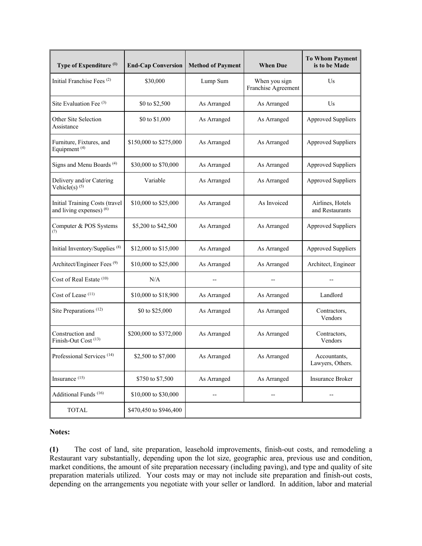| Type of Expenditure (1)                                    | <b>End-Cap Conversion</b> | <b>Method of Payment</b> | <b>When Due</b>                      | <b>To Whom Payment</b><br>is to be Made |
|------------------------------------------------------------|---------------------------|--------------------------|--------------------------------------|-----------------------------------------|
| Initial Franchise Fees <sup>(2)</sup>                      | \$30,000                  | Lump Sum                 | When you sign<br>Franchise Agreement | Us                                      |
| Site Evaluation Fee $(3)$                                  | \$0 to \$2,500            | As Arranged              | As Arranged                          | Us                                      |
| Other Site Selection<br>Assistance                         | \$0 to \$1,000            | As Arranged              | As Arranged                          | <b>Approved Suppliers</b>               |
| Furniture, Fixtures, and<br>Equipment <sup>(4)</sup>       | \$150,000 to \$275,000    | As Arranged              | As Arranged                          | <b>Approved Suppliers</b>               |
| Signs and Menu Boards <sup>(4)</sup>                       | \$30,000 to \$70,000      | As Arranged              | As Arranged                          | <b>Approved Suppliers</b>               |
| Delivery and/or Catering<br>Vehicle(s) $(5)$               | Variable                  | As Arranged              | As Arranged                          | <b>Approved Suppliers</b>               |
| Initial Training Costs (travel<br>and living expenses) (6) | \$10,000 to \$25,000      | As Arranged              | As Invoiced                          | Airlines, Hotels<br>and Restaurants     |
| Computer & POS Systems<br>(7)                              | \$5,200 to \$42,500       | As Arranged              | As Arranged                          | <b>Approved Suppliers</b>               |
| Initial Inventory/Supplies <sup>(8)</sup>                  | \$12,000 to \$15,000      | As Arranged              | As Arranged                          | <b>Approved Suppliers</b>               |
| Architect/Engineer Fees <sup>(9)</sup>                     | \$10,000 to \$25,000      | As Arranged              | As Arranged                          | Architect, Engineer                     |
| Cost of Real Estate (10)                                   | N/A                       |                          |                                      |                                         |
| Cost of Lease (11)                                         | \$10,000 to \$18,900      | As Arranged              | As Arranged                          | Landlord                                |
| Site Preparations <sup>(12)</sup>                          | \$0 to \$25,000           | As Arranged              | As Arranged                          | Contractors,<br>Vendors                 |
| Construction and<br>Finish-Out Cost <sup>(13)</sup>        | \$200,000 to \$372,000    | As Arranged              | As Arranged                          | Contractors,<br>Vendors                 |
| Professional Services <sup>(14)</sup>                      | \$2,500 to \$7,000        | As Arranged              | As Arranged                          | Accountants,<br>Lawyers, Others.        |
| Insurance (15)                                             | \$750 to \$7,500          | As Arranged              | As Arranged                          | <b>Insurance Broker</b>                 |
| Additional Funds <sup>(16)</sup>                           | \$10,000 to \$30,000      | --                       |                                      |                                         |
| <b>TOTAL</b>                                               | \$470,450 to \$946,400    |                          |                                      |                                         |

### **Notes:**

**(1)** The cost of land, site preparation, leasehold improvements, finish-out costs, and remodeling a Restaurant vary substantially, depending upon the lot size, geographic area, previous use and condition, market conditions, the amount of site preparation necessary (including paving), and type and quality of site preparation materials utilized. Your costs may or may not include site preparation and finish-out costs, depending on the arrangements you negotiate with your seller or landlord. In addition, labor and material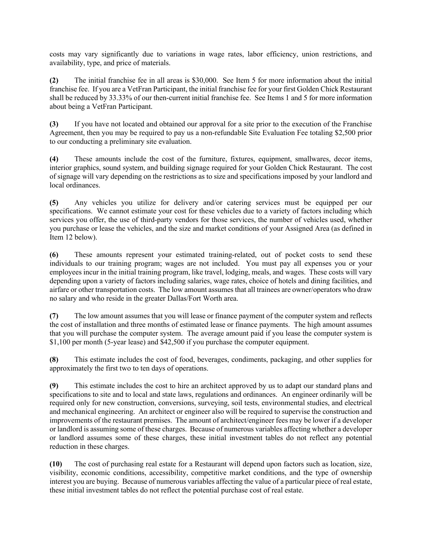costs may vary significantly due to variations in wage rates, labor efficiency, union restrictions, and availability, type, and price of materials.

**(2)** The initial franchise fee in all areas is \$30,000. See Item 5 for more information about the initial franchise fee. If you are a VetFran Participant, the initial franchise fee for your first Golden Chick Restaurant shall be reduced by 33.33% of our then-current initial franchise fee. See Items 1 and 5 for more information about being a VetFran Participant.

**(3)** If you have not located and obtained our approval for a site prior to the execution of the Franchise Agreement, then you may be required to pay us a non-refundable Site Evaluation Fee totaling \$2,500 prior to our conducting a preliminary site evaluation.

**(4)** These amounts include the cost of the furniture, fixtures, equipment, smallwares, decor items, interior graphics, sound system, and building signage required for your Golden Chick Restaurant. The cost of signage will vary depending on the restrictions as to size and specifications imposed by your landlord and local ordinances.

**(5)** Any vehicles you utilize for delivery and/or catering services must be equipped per our specifications. We cannot estimate your cost for these vehicles due to a variety of factors including which services you offer, the use of third-party vendors for those services, the number of vehicles used, whether you purchase or lease the vehicles, and the size and market conditions of your Assigned Area (as defined in Item 12 below).

**(6)** These amounts represent your estimated training-related, out of pocket costs to send these individuals to our training program; wages are not included. You must pay all expenses you or your employees incur in the initial training program, like travel, lodging, meals, and wages. These costs will vary depending upon a variety of factors including salaries, wage rates, choice of hotels and dining facilities, and airfare or other transportation costs. The low amount assumes that all trainees are owner/operators who draw no salary and who reside in the greater Dallas/Fort Worth area.

**(7)** The low amount assumes that you will lease or finance payment of the computer system and reflects the cost of installation and three months of estimated lease or finance payments. The high amount assumes that you will purchase the computer system. The average amount paid if you lease the computer system is \$1,100 per month (5-year lease) and \$42,500 if you purchase the computer equipment.

**(8)** This estimate includes the cost of food, beverages, condiments, packaging, and other supplies for approximately the first two to ten days of operations.

**(9)** This estimate includes the cost to hire an architect approved by us to adapt our standard plans and specifications to site and to local and state laws, regulations and ordinances. An engineer ordinarily will be required only for new construction, conversions, surveying, soil tests, environmental studies, and electrical and mechanical engineering. An architect or engineer also will be required to supervise the construction and improvements of the restaurant premises. The amount of architect/engineer fees may be lower if a developer or landlord is assuming some of these charges. Because of numerous variables affecting whether a developer or landlord assumes some of these charges, these initial investment tables do not reflect any potential reduction in these charges.

**(10)** The cost of purchasing real estate for a Restaurant will depend upon factors such as location, size, visibility, economic conditions, accessibility, competitive market conditions, and the type of ownership interest you are buying. Because of numerous variables affecting the value of a particular piece of real estate, these initial investment tables do not reflect the potential purchase cost of real estate.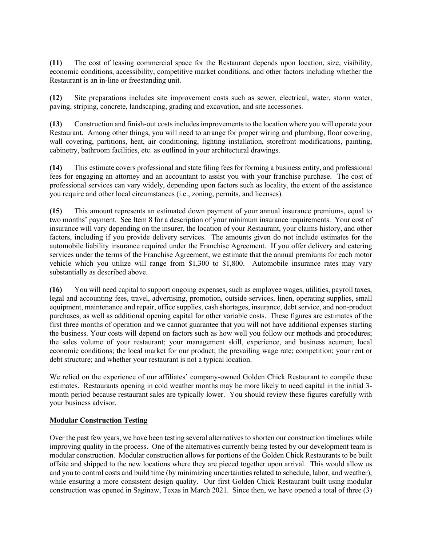**(11)** The cost of leasing commercial space for the Restaurant depends upon location, size, visibility, economic conditions, accessibility, competitive market conditions, and other factors including whether the Restaurant is an in-line or freestanding unit.

**(12)** Site preparations includes site improvement costs such as sewer, electrical, water, storm water, paving, striping, concrete, landscaping, grading and excavation, and site accessories.

**(13)** Construction and finish-out costs includes improvements to the location where you will operate your Restaurant. Among other things, you will need to arrange for proper wiring and plumbing, floor covering, wall covering, partitions, heat, air conditioning, lighting installation, storefront modifications, painting, cabinetry, bathroom facilities, etc. as outlined in your architectural drawings.

**(14)** This estimate covers professional and state filing fees for forming a business entity, and professional fees for engaging an attorney and an accountant to assist you with your franchise purchase. The cost of professional services can vary widely, depending upon factors such as locality, the extent of the assistance you require and other local circumstances (i.e., zoning, permits, and licenses).

**(15)** This amount represents an estimated down payment of your annual insurance premiums, equal to two months' payment. See Item 8 for a description of your minimum insurance requirements. Your cost of insurance will vary depending on the insurer, the location of your Restaurant, your claims history, and other factors, including if you provide delivery services. The amounts given do not include estimates for the automobile liability insurance required under the Franchise Agreement. If you offer delivery and catering services under the terms of the Franchise Agreement, we estimate that the annual premiums for each motor vehicle which you utilize will range from \$1,300 to \$1,800. Automobile insurance rates may vary substantially as described above.

**(16)** You will need capital to support ongoing expenses, such as employee wages, utilities, payroll taxes, legal and accounting fees, travel, advertising, promotion, outside services, linen, operating supplies, small equipment, maintenance and repair, office supplies, cash shortages, insurance, debt service, and non-product purchases, as well as additional opening capital for other variable costs. These figures are estimates of the first three months of operation and we cannot guarantee that you will not have additional expenses starting the business. Your costs will depend on factors such as how well you follow our methods and procedures; the sales volume of your restaurant; your management skill, experience, and business acumen; local economic conditions; the local market for our product; the prevailing wage rate; competition; your rent or debt structure; and whether your restaurant is not a typical location.

We relied on the experience of our affiliates' company-owned Golden Chick Restaurant to compile these estimates. Restaurants opening in cold weather months may be more likely to need capital in the initial 3 month period because restaurant sales are typically lower. You should review these figures carefully with your business advisor.

### **Modular Construction Testing**

Over the past few years, we have been testing several alternatives to shorten our construction timelines while improving quality in the process. One of the alternatives currently being tested by our development team is modular construction. Modular construction allows for portions of the Golden Chick Restaurants to be built offsite and shipped to the new locations where they are pieced together upon arrival. This would allow us and you to control costs and build time (by minimizing uncertainties related to schedule, labor, and weather), while ensuring a more consistent design quality. Our first Golden Chick Restaurant built using modular construction was opened in Saginaw, Texas in March 2021. Since then, we have opened a total of three (3)